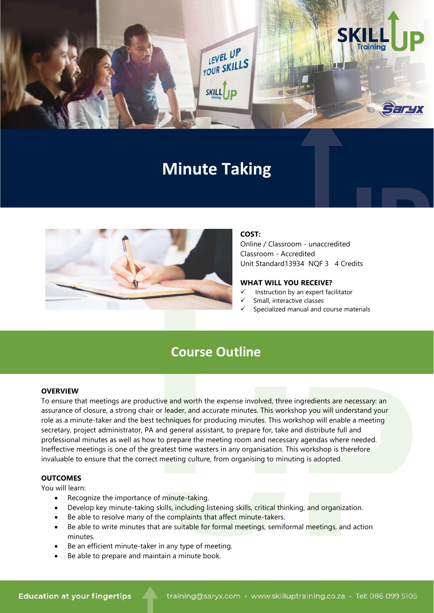

# **Minute Taking**



## **COST:**

Online / Classroom - unaccredited Classroom - Accredited Unit Standard13934 NQF 3 4 Credits

#### **WHAT WILL YOU RECEIVE?**

- Instruction by an expert facilitator
- Small, interactive classes
- Specialized manual and course materials

# **Course Outline**

#### **OVERVIEW**

To ensure that meetings are productive and worth the expense involved, three ingredients are necessary: an assurance of closure, a strong chair or leader, and accurate minutes. This workshop you will understand your role as a minute-taker and the best techniques for producing minutes. This workshop will enable a meeting secretary, project administrator, PA and general assistant, to prepare for, take and distribute full and professional minutes as well as how to prepare the meeting room and necessary agendas where needed. Ineffective meetings is one of the greatest time wasters in any organisation. This workshop is therefore invaluable to ensure that the correct meeting culture, from organising to minuting is adopted.

#### **OUTCOMES**

You will learn:

- Recognize the importance of minute-taking.
- Develop key minute-taking skills, including listening skills, critical thinking, and organization.
- Be able to resolve many of the complaints that affect minute-takers.
- Be able to write minutes that are suitable for formal meetings, semiformal meetings, and action minutes.
- Be an efficient minute-taker in any type of meeting.
- Be able to prepare and maintain a minute book.